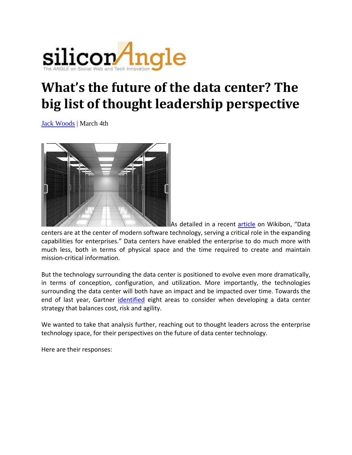

# **What's the future of the data center? The big list of thought leadership perspective**

Jack Woods | March 4th



As detailed in a recent article on Wikibon, "Data centers are at the center of modern software technology, serving a critical role in the expanding capabilities for enterprises." Data centers have enabled the enterprise to do much more with much less, both in terms of physical space and the time required to create and maintain mission‐critical information.

But the technology surrounding the data center is positioned to evolve even more dramatically, in terms of conception, configuration, and utilization. More importantly, the technologies surrounding the data center will both have an impact and be impacted over time. Towards the end of last year, Gartner identified eight areas to consider when developing a data center strategy that balances cost, risk and agility.

We wanted to take that analysis further, reaching out to thought leaders across the enterprise technology space, for their perspectives on the future of data center technology.

Here are their responses: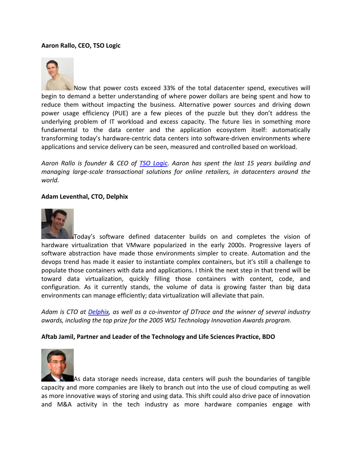#### **Aaron Rallo, CEO, TSO Logic**



Now that power costs exceed 33% of the total datacenter spend, executives will begin to demand a better understanding of where power dollars are being spent and how to reduce them without impacting the business. Alternative power sources and driving down power usage efficiency (PUE) are a few pieces of the puzzle but they don't address the underlying problem of IT workload and excess capacity. The future lies in something more fundamental to the data center and the application ecosystem itself: automatically transforming today's hardware‐centric data centers into software‐driven environments where applications and service delivery can be seen, measured and controlled based on workload.

*Aaron Rallo is founder & CEO of TSO Logic. Aaron has spent the last 15 years building and managing large‐scale transactional solutions for online retailers, in datacenters around the world.*

#### **Adam Leventhal, CTO, Delphix**



Today's software defined datacenter builds on and completes the vision of hardware virtualization that VMware popularized in the early 2000s. Progressive layers of software abstraction have made those environments simpler to create. Automation and the devops trend has made it easier to instantiate complex containers, but it's still a challenge to populate those containers with data and applications. I think the next step in that trend will be toward data virtualization, quickly filling those containers with content, code, and configuration. As it currently stands, the volume of data is growing faster than big data environments can manage efficiently; data virtualization will alleviate that pain.

Adam is CTO at Delphix, as well as a co-inventor of DTrace and the winner of several industry *awards, including the top prize for the 2005 WSJ Technology Innovation Awards program.*

#### **Aftab Jamil, Partner and Leader of the Technology and Life Sciences Practice, BDO**



As data storage needs increase, data centers will push the boundaries of tangible capacity and more companies are likely to branch out into the use of cloud computing as well as more innovative ways of storing and using data. This shift could also drive pace of innovation and M&A activity in the tech industry as more hardware companies engage with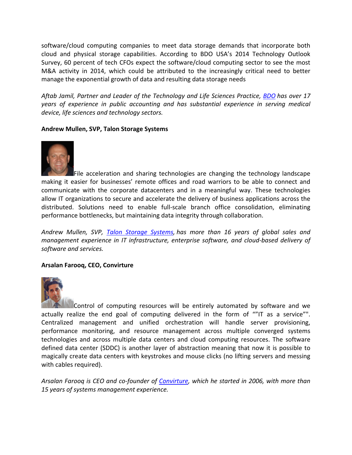software/cloud computing companies to meet data storage demands that incorporate both cloud and physical storage capabilities. According to BDO USA's 2014 Technology Outlook Survey, 60 percent of tech CFOs expect the software/cloud computing sector to see the most M&A activity in 2014, which could be attributed to the increasingly critical need to better manage the exponential growth of data and resulting data storage needs

*Aftab Jamil, Partner and Leader of the Technology and Life Sciences Practice, BDO has over 17 years of experience in public accounting and has substantial experience in serving medical device, life sciences and technology sectors.*

# **Andrew Mullen, SVP, Talon Storage Systems**



File acceleration and sharing technologies are changing the technology landscape making it easier for businesses' remote offices and road warriors to be able to connect and communicate with the corporate datacenters and in a meaningful way. These technologies allow IT organizations to secure and accelerate the delivery of business applications across the distributed. Solutions need to enable full‐scale branch office consolidation, eliminating performance bottlenecks, but maintaining data integrity through collaboration.

*Andrew Mullen, SVP, Talon Storage Systems, has more than 16 years of global sales and management experience in IT infrastructure, enterprise software, and cloud‐based delivery of software and services.*

## **Arsalan Farooq, CEO, Convirture**



Control of computing resources will be entirely automated by software and we actually realize the end goal of computing delivered in the form of ""IT as a service"". Centralized management and unified orchestration will handle server provisioning, performance monitoring, and resource management across multiple converged systems technologies and across multiple data centers and cloud computing resources. The software defined data center (SDDC) is another layer of abstraction meaning that now it is possible to magically create data centers with keystrokes and mouse clicks (no lifting servers and messing with cables required).

*Arsalan Farooq is CEO and co‐founder of Convirture, which he started in 2006, with more than 15 years of systems management experience.*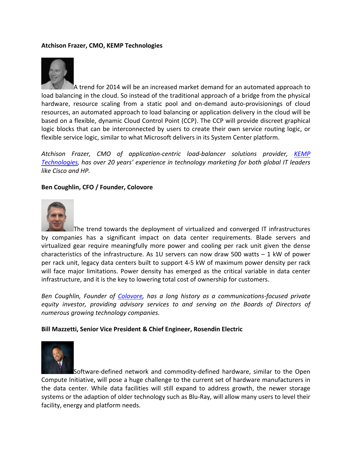# **Atchison Frazer, CMO, KEMP Technologies**



A trend for 2014 will be an increased market demand for an automated approach to load balancing in the cloud. So instead of the traditional approach of a bridge from the physical hardware, resource scaling from a static pool and on-demand auto-provisionings of cloud resources, an automated approach to load balancing or application delivery in the cloud will be based on a flexible, dynamic Cloud Control Point (CCP). The CCP will provide discreet graphical logic blocks that can be interconnected by users to create their own service routing logic, or flexible service logic, similar to what Microsoft delivers in its System Center platform.

*Atchison Frazer, CMO of application‐centric load‐balancer solutions provider, KEMP Technologies, has over 20 years' experience in technology marketing for both global IT leaders like Cisco and HP.*

## **Ben Coughlin, CFO / Founder, Colovore**



The trend towards the deployment of virtualized and converged IT infrastructures by companies has a significant impact on data center requirements. Blade servers and virtualized gear require meaningfully more power and cooling per rack unit given the dense characteristics of the infrastructure. As 1U servers can now draw 500 watts  $-1$  kW of power per rack unit, legacy data centers built to support 4‐5 kW of maximum power density per rack will face major limitations. Power density has emerged as the critical variable in data center infrastructure, and it is the key to lowering total cost of ownership for customers.

*Ben Coughlin, Founder of Colovore, has a long history as a communications‐focused private equity investor, providing advisory services to and serving on the Boards of Directors of numerous growing technology companies.*

#### **Bill Mazzetti, Senior Vice President & Chief Engineer, Rosendin Electric**



Software‐defined network and commodity‐defined hardware, similar to the Open Compute Initiative, will pose a huge challenge to the current set of hardware manufacturers in the data center. While data facilities will still expand to address growth, the newer storage systems or the adaption of older technology such as Blu-Ray, will allow many users to level their facility, energy and platform needs.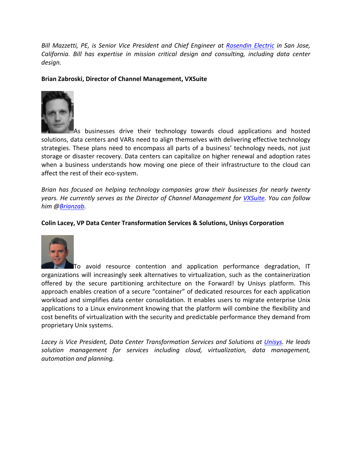*Bill Mazzetti, PE, is Senior Vice President and Chief Engineer at Rosendin Electric in San Jose, California. Bill has expertise in mission critical design and consulting, including data center design.*

# **Brian Zabroski, Director of Channel Management, VXSuite**



As businesses drive their technology towards cloud applications and hosted solutions, data centers and VARs need to align themselves with delivering effective technology strategies. These plans need to encompass all parts of a business' technology needs, not just storage or disaster recovery. Data centers can capitalize on higher renewal and adoption rates when a business understands how moving one piece of their infrastructure to the cloud can affect the rest of their eco‐system.

*Brian has focused on helping technology companies grow their businesses for nearly twenty years. He currently serves as the Director of Channel Management for VXSuite. You can follow him @Brianzab.*

## **Colin Lacey, VP Data Center Transformation Services & Solutions, Unisys Corporation**



To avoid resource contention and application performance degradation, IT organizations will increasingly seek alternatives to virtualization, such as the containerization offered by the secure partitioning architecture on the Forward! by Unisys platform. This approach enables creation of a secure "container" of dedicated resources for each application workload and simplifies data center consolidation. It enables users to migrate enterprise Unix applications to a Linux environment knowing that the platform will combine the flexibility and cost benefits of virtualization with the security and predictable performance they demand from proprietary Unix systems.

*Lacey is Vice President, Data Center Transformation Services and Solutions at Unisys. He leads solution management for services including cloud, virtualization, data management, automation and planning.*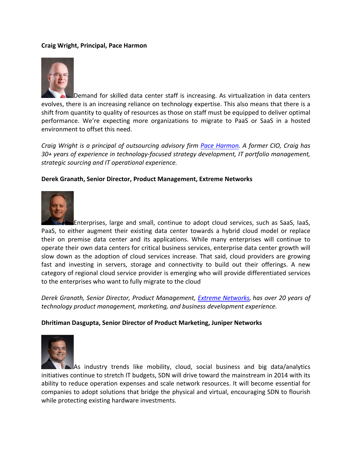# **Craig Wright, Principal, Pace Harmon**



Demand for skilled data center staff is increasing. As virtualization in data centers evolves, there is an increasing reliance on technology expertise. This also means that there is a shift from quantity to quality of resources as those on staff must be equipped to deliver optimal performance. We're expecting more organizations to migrate to PaaS or SaaS in a hosted environment to offset this need.

*Craig Wright is a principal of outsourcing advisory firm Pace Harmon. A former CIO, Craig has 30+ years of experience in technology‐focused strategy development, IT portfolio management, strategic sourcing and IT operational experience.*

## **Derek Granath, Senior Director, Product Management, Extreme Networks**



Enterprises, large and small, continue to adopt cloud services, such as SaaS, IaaS, PaaS, to either augment their existing data center towards a hybrid cloud model or replace their on premise data center and its applications. While many enterprises will continue to operate their own data centers for critical business services, enterprise data center growth will slow down as the adoption of cloud services increase. That said, cloud providers are growing fast and investing in servers, storage and connectivity to build out their offerings. A new category of regional cloud service provider is emerging who will provide differentiated services to the enterprises who want to fully migrate to the cloud

*Derek Granath, Senior Director, Product Management, Extreme Networks, has over 20 years of technology product management, marketing, and business development experience.*

## **Dhritiman Dasgupta, Senior Director of Product Marketing, Juniper Networks**



As industry trends like mobility, cloud, social business and big data/analytics initiatives continue to stretch IT budgets, SDN will drive toward the mainstream in 2014 with its ability to reduce operation expenses and scale network resources. It will become essential for companies to adopt solutions that bridge the physical and virtual, encouraging SDN to flourish while protecting existing hardware investments.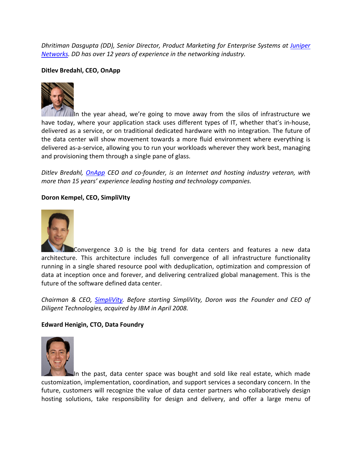*Dhritiman Dasgupta (DD), Senior Director, Product Marketing for Enterprise Systems at Juniper Networks. DD has over 12 years of experience in the networking industry.*

# **Ditlev Bredahl, CEO, OnApp**



In the year ahead, we're going to move away from the silos of infrastructure we have today, where your application stack uses different types of IT, whether that's in-house, delivered as a service, or on traditional dedicated hardware with no integration. The future of the data center will show movement towards a more fluid environment where everything is delivered as‐a‐service, allowing you to run your workloads wherever they work best, managing and provisioning them through a single pane of glass.

*Ditlev Bredahl, OnApp CEO and co‐founder, is an Internet and hosting industry veteran, with more than 15 years' experience leading hosting and technology companies.*

# **Doron Kempel, CEO, SimpliVIty**



Convergence 3.0 is the big trend for data centers and features a new data architecture. This architecture includes full convergence of all infrastructure functionality running in a single shared resource pool with deduplication, optimization and compression of data at inception once and forever, and delivering centralized global management. This is the future of the software defined data center.

*Chairman & CEO, SimpliVity. Before starting SimpliVity, Doron was the Founder and CEO of Diligent Technologies, acquired by IBM in April 2008.*

## **Edward Henigin, CTO, Data Foundry**



In the past, data center space was bought and sold like real estate, which made customization, implementation, coordination, and support services a secondary concern. In the future, customers will recognize the value of data center partners who collaboratively design hosting solutions, take responsibility for design and delivery, and offer a large menu of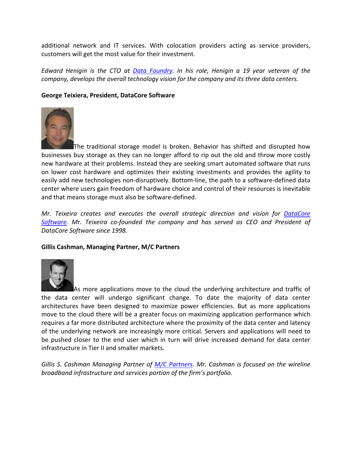additional network and IT services. With colocation providers acting as service providers, customers will get the most value for their investment.

*Edward Henigin is the CTO at Data Foundry. In his role, Henigin a 19 year veteran of the company, develops the overall technology vision for the company and its three data centers.*

# **George Teixiera, President, DataCore Software**



The traditional storage model is broken. Behavior has shifted and disrupted how businesses buy storage as they can no longer afford to rip out the old and throw more costly new hardware at their problems. Instead they are seeking smart automated software that runs on lower cost hardware and optimizes their existing investments and provides the agility to easily add new technologies non-disruptively. Bottom-line, the path to a software-defined data center where users gain freedom of hardware choice and control of their resources is inevitable and that means storage must also be software‐defined.

*Mr. Teixeira creates and executes the overall strategic direction and vision for DataCore Software. Mr. Teixeira co‐founded the company and has served as CEO and President of DataCore Software since 1998.*

## **Gillis Cashman, Managing Partner, M/C Partners**



As more applications move to the cloud the underlying architecture and traffic of the data center will undergo significant change. To date the majority of data center architectures have been designed to maximize power efficiencies. But as more applications move to the cloud there will be a greater focus on maximizing application performance which requires a far more distributed architecture where the proximity of the data center and latency of the underlying network are increasingly more critical. Servers and applications will need to be pushed closer to the end user which in turn will drive increased demand for data center infrastructure in Tier II and smaller markets.

*Gillis S. Cashman Managing Partner of M/C Partners. Mr. Cashman is focused on the wireline broadband infrastructure and services portion of the firm's portfolio.*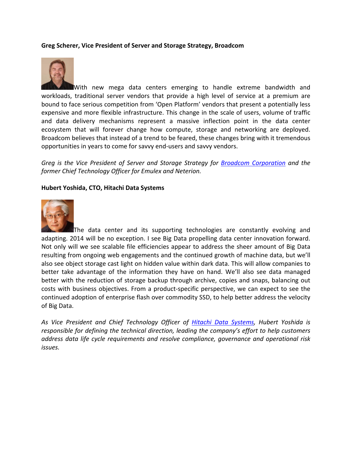#### **Greg Scherer, Vice President of Server and Storage Strategy, Broadcom**



With new mega data centers emerging to handle extreme bandwidth and workloads, traditional server vendors that provide a high level of service at a premium are bound to face serious competition from 'Open Platform' vendors that present a potentially less expensive and more flexible infrastructure. This change in the scale of users, volume of traffic and data delivery mechanisms represent a massive inflection point in the data center ecosystem that will forever change how compute, storage and networking are deployed. Broadcom believes that instead of a trend to be feared, these changes bring with it tremendous opportunities in years to come for savvy end‐users and savvy vendors.

*Greg is the Vice President of Server and Storage Strategy for Broadcom Corporation and the former Chief Technology Officer for Emulex and Neterion.*

#### **Hubert Yoshida, CTO, Hitachi Data Systems**



The data center and its supporting technologies are constantly evolving and adapting. 2014 will be no exception. I see Big Data propelling data center innovation forward. Not only will we see scalable file efficiencies appear to address the sheer amount of Big Data resulting from ongoing web engagements and the continued growth of machine data, but we'll also see object storage cast light on hidden value within dark data. This will allow companies to better take advantage of the information they have on hand. We'll also see data managed better with the reduction of storage backup through archive, copies and snaps, balancing out costs with business objectives. From a product‐specific perspective, we can expect to see the continued adoption of enterprise flash over commodity SSD, to help better address the velocity of Big Data.

*As Vice President and Chief Technology Officer of Hitachi Data Systems, Hubert Yoshida is responsible for defining the technical direction, leading the company's effort to help customers address data life cycle requirements and resolve compliance, governance and operational risk issues.*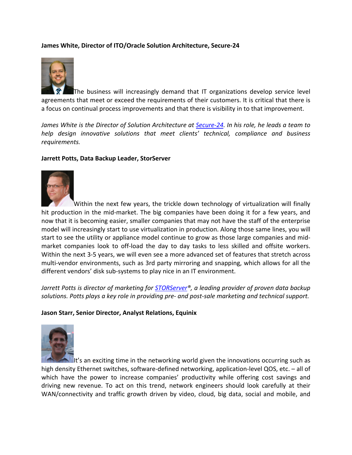# **James White, Director of ITO/Oracle Solution Architecture, Secure‐24**



The business will increasingly demand that IT organizations develop service level agreements that meet or exceed the requirements of their customers. It is critical that there is a focus on continual process improvements and that there is visibility in to that improvement.

James White is the Director of Solution Architecture at Secure-24. In his role, he leads a team to *help design innovative solutions that meet clients' technical, compliance and business requirements.*

#### **Jarrett Potts, Data Backup Leader, StorServer**



Within the next few years, the trickle down technology of virtualization will finally hit production in the mid-market. The big companies have been doing it for a few years, and now that it is becoming easier, smaller companies that may not have the staff of the enterprise model will increasingly start to use virtualization in production. Along those same lines, you will start to see the utility or appliance model continue to grow as those large companies and mid‐ market companies look to off‐load the day to day tasks to less skilled and offsite workers. Within the next 3‐5 years, we will even see a more advanced set of features that stretch across multi-vendor environments, such as 3rd party mirroring and snapping, which allows for all the different vendors' disk sub‐systems to play nice in an IT environment.

*Jarrett Potts is director of marketing for STORServer®, a leading provider of proven data backup solutions. Potts plays a key role in providing pre‐ and post‐sale marketing and technical support.*

## **Jason Starr, Senior Director, Analyst Relations, Equinix**



It's an exciting time in the networking world given the innovations occurring such as high density Ethernet switches, software-defined networking, application-level QOS, etc. – all of which have the power to increase companies' productivity while offering cost savings and driving new revenue. To act on this trend, network engineers should look carefully at their WAN/connectivity and traffic growth driven by video, cloud, big data, social and mobile, and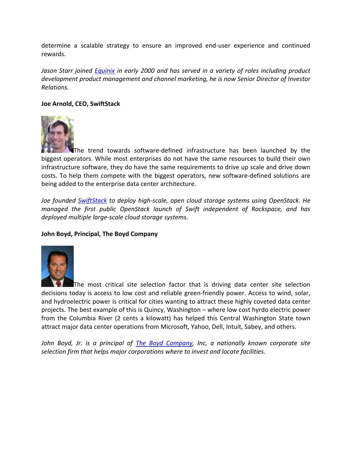determine a scalable strategy to ensure an improved end‐user experience and continued rewards.

*Jason Starr joined Equinix in early 2000 and has served in a variety of roles including product development product management and channel marketing, he is now Senior Director of Investor Relations.*

# **Joe Arnold, CEO, SwiftStack**



The trend towards software‐defined infrastructure has been launched by the biggest operators. While most enterprises do not have the same resources to build their own infrastructure software, they do have the same requirements to drive up scale and drive down costs. To help them compete with the biggest operators, new software‐defined solutions are being added to the enterprise data center architecture.

*Joe founded SwiftStack to deploy high‐scale, open cloud storage systems using OpenStack. He managed the first public OpenStack launch of Swift independent of Rackspace, and has deployed multiple large‐scale cloud storage systems.*

## **John Boyd, Principal, The Boyd Company**



The most critical site selection factor that is driving data center site selection decisions today is access to low cost and reliable green‐friendly power. Access to wind, solar, and hydroelectric power is critical for cities wanting to attract these highly coveted data center projects. The best example of this is Quincy, Washington – where low cost hyrdo electric power from the Columbia River (2 cents a kilowatt) has helped this Central Washington State town attract major data center operations from Microsoft, Yahoo, Dell, Intuit, Sabey, and others.

*John Boyd, Jr. is a principal of The Boyd Company, Inc, a nationally known corporate site selection firm that helps major corporations where to invest and locate facilities.*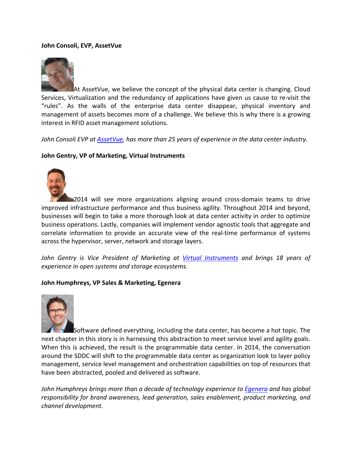## **John Consoli, EVP, AssetVue**



At AssetVue, we believe the concept of the physical data center is changing. Cloud Services, Virtualization and the redundancy of applications have given us cause to re‐visit the "rules". As the walls of the enterprise data center disappear, physical inventory and management of assets becomes more of a challenge. We believe this is why there is a growing interest in RFID asset management solutions.

*John Consoli EVP at AssetVue, has more than 25 years of experience in the data center industry.*

## **John Gentry, VP of Marketing, Virtual Instruments**



2014 will see more organizations aligning around cross‐domain teams to drive improved infrastructure performance and thus business agility. Throughout 2014 and beyond, businesses will begin to take a more thorough look at data center activity in order to optimize business operations. Lastly, companies will implement vendor agnostic tools that aggregate and correlate information to provide an accurate view of the real-time performance of systems across the hypervisor, server, network and storage layers.

*John Gentry is Vice President of Marketing at Virtual Instruments and brings 18 years of experience in open systems and storage ecosystems.*

## **John Humphreys, VP Sales & Marketing, Egenera**



Software defined everything, including the data center, has become a hot topic. The next chapter in this story is in harnessing this abstraction to meet service level and agility goals. When this is achieved, the result is the programmable data center. In 2014, the conversation around the SDDC will shift to the programmable data center as organization look to layer policy management, service level management and orchestration capabilities on top of resources that have been abstracted, pooled and delivered as software.

*John Humphreys brings more than a decade of technology experience to Egenera and has global responsibility for brand awareness, lead generation, sales enablement, product marketing, and channel development.*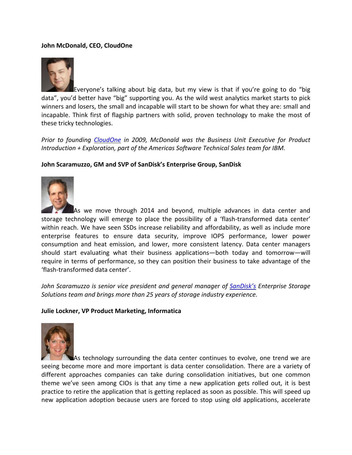# **John McDonald, CEO, CloudOne**



Everyone's talking about big data, but my view is that if you're going to do "big data", you'd better have "big" supporting you. As the wild west analytics market starts to pick winners and losers, the small and incapable will start to be shown for what they are: small and incapable. Think first of flagship partners with solid, proven technology to make the most of these tricky technologies.

*Prior to founding CloudOne in 2009, McDonald was the Business Unit Executive for Product Introduction + Exploration, part of the Americas Software Technical Sales team for IBM.*

## **John Scaramuzzo, GM and SVP of SanDisk's Enterprise Group, SanDisk**



As we move through 2014 and beyond, multiple advances in data center and storage technology will emerge to place the possibility of a 'flash-transformed data center' within reach. We have seen SSDs increase reliability and affordability, as well as include more enterprise features to ensure data security, improve IOPS performance, lower power consumption and heat emission, and lower, more consistent latency. Data center managers should start evaluating what their business applications—both today and tomorrow—will require in terms of performance, so they can position their business to take advantage of the 'flash‐transformed data center'.

*John Scaramuzzo is senior vice president and general manager of SanDisk's Enterprise Storage Solutions team and brings more than 25 years of storage industry experience.*

#### **Julie Lockner, VP Product Marketing, Informatica**



As technology surrounding the data center continues to evolve, one trend we are seeing become more and more important is data center consolidation. There are a variety of different approaches companies can take during consolidation initiatives, but one common theme we've seen among CIOs is that any time a new application gets rolled out, it is best practice to retire the application that is getting replaced as soon as possible. This will speed up new application adoption because users are forced to stop using old applications, accelerate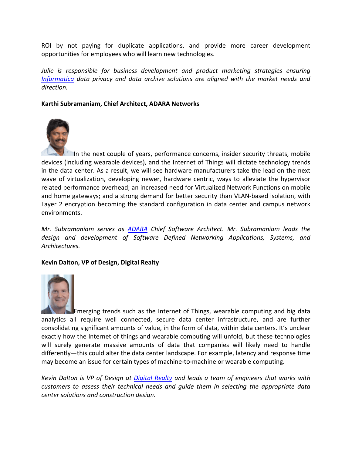ROI by not paying for duplicate applications, and provide more career development opportunities for employees who will learn new technologies.

*Julie is responsible for business development and product marketing strategies ensuring Informatica data privacy and data archive solutions are aligned with the market needs and direction.*

# **Karthi Subramaniam, Chief Architect, ADARA Networks**



In the next couple of years, performance concerns, insider security threats, mobile devices (including wearable devices), and the Internet of Things will dictate technology trends in the data center. As a result, we will see hardware manufacturers take the lead on the next wave of virtualization, developing newer, hardware centric, ways to alleviate the hypervisor related performance overhead; an increased need for Virtualized Network Functions on mobile and home gateways; and a strong demand for better security than VLAN‐based isolation, with Layer 2 encryption becoming the standard configuration in data center and campus network environments.

*Mr. Subramaniam serves as ADARA Chief Software Architect. Mr. Subramaniam leads the design and development of Software Defined Networking Applications, Systems, and Architectures.*

## **Kevin Dalton, VP of Design, Digital Realty**



Emerging trends such as the Internet of Things, wearable computing and big data analytics all require well connected, secure data center infrastructure, and are further consolidating significant amounts of value, in the form of data, within data centers. It's unclear exactly how the Internet of things and wearable computing will unfold, but these technologies will surely generate massive amounts of data that companies will likely need to handle differently—this could alter the data center landscape. For example, latency and response time may become an issue for certain types of machine-to-machine or wearable computing.

*Kevin Dalton is VP of Design at Digital Realty and leads a team of engineers that works with customers to assess their technical needs and guide them in selecting the appropriate data center solutions and construction design.*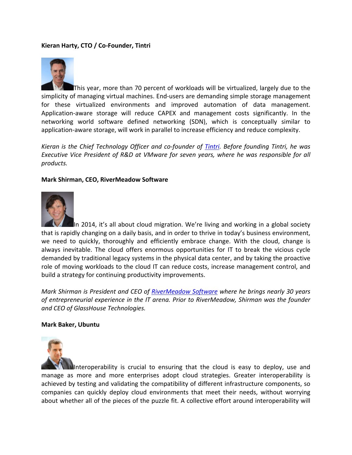# **Kieran Harty, CTO / Co‐Founder, Tintri**



This year, more than 70 percent of workloads will be virtualized, largely due to the simplicity of managing virtual machines. End-users are demanding simple storage management for these virtualized environments and improved automation of data management. Application‐aware storage will reduce CAPEX and management costs significantly. In the networking world software defined networking (SDN), which is conceptually similar to application‐aware storage, will work in parallel to increase efficiency and reduce complexity.

*Kieran is the Chief Technology Officer and co‐founder of Tintri. Before founding Tintri, he was Executive Vice President of R&D at VMware for seven years, where he was responsible for all products.*

#### **Mark Shirman, CEO, RiverMeadow Software**



In 2014, it's all about cloud migration. We're living and working in a global society that is rapidly changing on a daily basis, and in order to thrive in today's business environment, we need to quickly, thoroughly and efficiently embrace change. With the cloud, change is always inevitable. The cloud offers enormous opportunities for IT to break the vicious cycle demanded by traditional legacy systems in the physical data center, and by taking the proactive role of moving workloads to the cloud IT can reduce costs, increase management control, and build a strategy for continuing productivity improvements.

*Mark Shirman is President and CEO of RiverMeadow Software where he brings nearly 30 years of entrepreneurial experience in the IT arena. Prior to RiverMeadow, Shirman was the founder and CEO of GlassHouse Technologies.*

#### **Mark Baker, Ubuntu**



Interoperability is crucial to ensuring that the cloud is easy to deploy, use and manage as more and more enterprises adopt cloud strategies. Greater interoperability is achieved by testing and validating the compatibility of different infrastructure components, so companies can quickly deploy cloud environments that meet their needs, without worrying about whether all of the pieces of the puzzle fit. A collective effort around interoperability will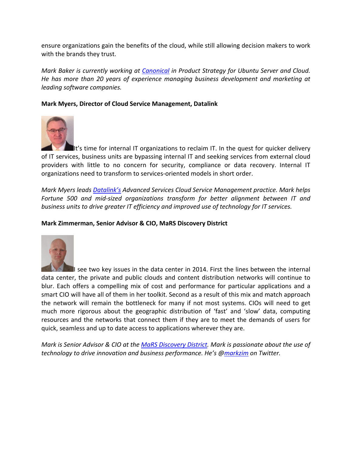ensure organizations gain the benefits of the cloud, while still allowing decision makers to work with the brands they trust.

*Mark Baker is currently working at Canonical in Product Strategy for Ubuntu Server and Cloud. He has more than 20 years of experience managing business development and marketing at leading software companies.*

# **Mark Myers, Director of Cloud Service Management, Datalink**



It's time for internal IT organizations to reclaim IT. In the quest for quicker delivery of IT services, business units are bypassing internal IT and seeking services from external cloud providers with little to no concern for security, compliance or data recovery. Internal IT organizations need to transform to services‐oriented models in short order.

*Mark Myers leads Datalink's Advanced Services Cloud Service Management practice. Mark helps Fortune 500 and mid‐sized organizations transform for better alignment between IT and business units to drive greater IT efficiency and improved use of technology for IT services.*

#### **Mark Zimmerman, Senior Advisor & CIO, MaRS Discovery District**



I see two key issues in the data center in 2014. First the lines between the internal data center, the private and public clouds and content distribution networks will continue to blur. Each offers a compelling mix of cost and performance for particular applications and a smart CIO will have all of them in her toolkit. Second as a result of this mix and match approach the network will remain the bottleneck for many if not most systems. CIOs will need to get much more rigorous about the geographic distribution of 'fast' and 'slow' data, computing resources and the networks that connect them if they are to meet the demands of users for quick, seamless and up to date access to applications wherever they are.

*Mark is Senior Advisor & CIO at the MaRS Discovery District. Mark is passionate about the use of technology to drive innovation and business performance. He's @markzim on Twitter.*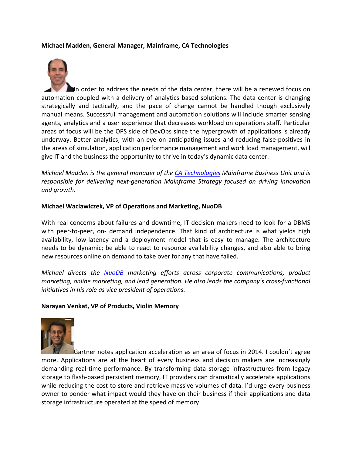### **Michael Madden, General Manager, Mainframe, CA Technologies**

In order to address the needs of the data center, there will be a renewed focus on automation coupled with a delivery of analytics based solutions. The data center is changing strategically and tactically, and the pace of change cannot be handled though exclusively manual means. Successful management and automation solutions will include smarter sensing agents, analytics and a user experience that decreases workload on operations staff. Particular areas of focus will be the OPS side of DevOps since the hypergrowth of applications is already underway. Better analytics, with an eye on anticipating issues and reducing false-positives in the areas of simulation, application performance management and work load management, will give IT and the business the opportunity to thrive in today's dynamic data center.

*Michael Madden is the general manager of the CA Technologies Mainframe Business Unit and is responsible for delivering next‐generation Mainframe Strategy focused on driving innovation and growth.*

## **Michael Waclawiczek, VP of Operations and Marketing, NuoDB**

With real concerns about failures and downtime, IT decision makers need to look for a DBMS with peer-to-peer, on- demand independence. That kind of architecture is what yields high availability, low‐latency and a deployment model that is easy to manage. The architecture needs to be dynamic; be able to react to resource availability changes, and also able to bring new resources online on demand to take over for any that have failed.

*Michael directs the NuoDB marketing efforts across corporate communications, product marketing, online marketing, and lead generation. He also leads the company's cross‐functional initiatives in his role as vice president of operations.*

#### **Narayan Venkat, VP of Products, Violin Memory**



Gartner notes application acceleration as an area of focus in 2014. I couldn't agree more. Applications are at the heart of every business and decision makers are increasingly demanding real‐time performance. By transforming data storage infrastructures from legacy storage to flash‐based persistent memory, IT providers can dramatically accelerate applications while reducing the cost to store and retrieve massive volumes of data. I'd urge every business owner to ponder what impact would they have on their business if their applications and data storage infrastructure operated at the speed of memory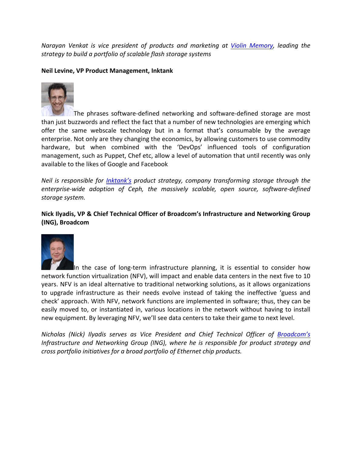*Narayan Venkat is vice president of products and marketing at Violin Memory, leading the strategy to build a portfolio of scalable flash storage systems*

# **Neil Levine, VP Product Management, Inktank**



The phrases software‐defined networking and software‐defined storage are most than just buzzwords and reflect the fact that a number of new technologies are emerging which offer the same webscale technology but in a format that's consumable by the average enterprise. Not only are they changing the economics, by allowing customers to use commodity hardware, but when combined with the 'DevOps' influenced tools of configuration management, such as Puppet, Chef etc, allow a level of automation that until recently was only available to the likes of Google and Facebook

*Neil is responsible for Inktank's product strategy, company transforming storage through the enterprise‐wide adoption of Ceph, the massively scalable, open source, software‐defined storage system.*

**Nick Ilyadis, VP & Chief Technical Officer of Broadcom's Infrastructure and Networking Group (ING), Broadcom**



In the case of long‐term infrastructure planning, it is essential to consider how network function virtualization (NFV), will impact and enable data centers in the next five to 10 years. NFV is an ideal alternative to traditional networking solutions, as it allows organizations to upgrade infrastructure as their needs evolve instead of taking the ineffective 'guess and check' approach. With NFV, network functions are implemented in software; thus, they can be easily moved to, or instantiated in, various locations in the network without having to install new equipment. By leveraging NFV, we'll see data centers to take their game to next level.

*Nicholas (Nick) Ilyadis serves as Vice President and Chief Technical Officer of Broadcom's Infrastructure and Networking Group (ING), where he is responsible for product strategy and cross portfolio initiatives for a broad portfolio of Ethernet chip products.*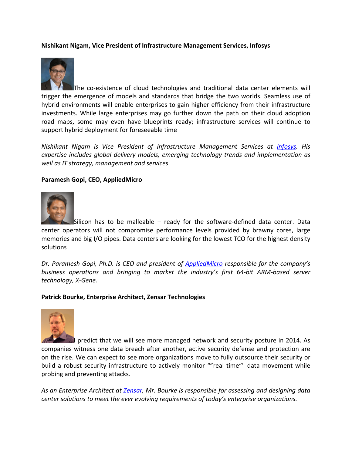# **Nishikant Nigam, Vice President of Infrastructure Management Services, Infosys**



The co-existence of cloud technologies and traditional data center elements will trigger the emergence of models and standards that bridge the two worlds. Seamless use of hybrid environments will enable enterprises to gain higher efficiency from their infrastructure investments. While large enterprises may go further down the path on their cloud adoption road maps, some may even have blueprints ready; infrastructure services will continue to support hybrid deployment for foreseeable time

*Nishikant Nigam is Vice President of Infrastructure Management Services at Infosys. His expertise includes global delivery models, emerging technology trends and implementation as well as IT strategy, management and services.*

#### **Paramesh Gopi, CEO, AppliedMicro**



Silicon has to be malleable – ready for the software‐defined data center. Data center operators will not compromise performance levels provided by brawny cores, large memories and big I/O pipes. Data centers are looking for the lowest TCO for the highest density solutions

*Dr. Paramesh Gopi, Ph.D. is CEO and president of AppliedMicro responsible for the company's business operations and bringing to market the industry's first 64‐bit ARM‐based server technology, X‐Gene.*

#### **Patrick Bourke, Enterprise Architect, Zensar Technologies**



 $\ell$  predict that we will see more managed network and security posture in 2014. As companies witness one data breach after another, active security defense and protection are on the rise. We can expect to see more organizations move to fully outsource their security or build a robust security infrastructure to actively monitor ""real time"" data movement while probing and preventing attacks.

*As an Enterprise Architect at Zensar, Mr. Bourke is responsible for assessing and designing data center solutions to meet the ever evolving requirements of today's enterprise organizations.*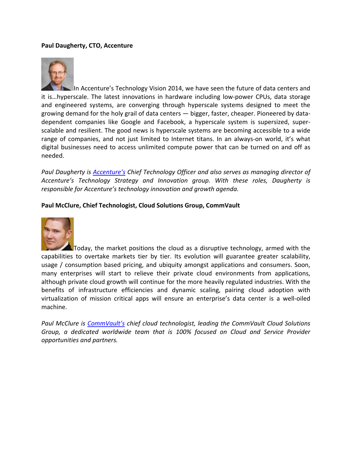## **Paul Daugherty, CTO, Accenture**



In Accenture's Technology Vision 2014, we have seen the future of data centers and it is…hyperscale. The latest innovations in hardware including low‐power CPUs, data storage and engineered systems, are converging through hyperscale systems designed to meet the growing demand for the holy grail of data centers — bigger, faster, cheaper. Pioneered by data‐ dependent companies like Google and Facebook, a hyperscale system is supersized, super‐ scalable and resilient. The good news is hyperscale systems are becoming accessible to a wide range of companies, and not just limited to Internet titans. In an always-on world, it's what digital businesses need to access unlimited compute power that can be turned on and off as needed.

*Paul Daugherty is Accenture's Chief Technology Officer and also serves as managing director of Accenture's Technology Strategy and Innovation group. With these roles, Daugherty is responsible for Accenture's technology innovation and growth agenda.*

#### **Paul McClure, Chief Technologist, Cloud Solutions Group, CommVault**



Today, the market positions the cloud as a disruptive technology, armed with the capabilities to overtake markets tier by tier. Its evolution will guarantee greater scalability, usage / consumption based pricing, and ubiquity amongst applications and consumers. Soon, many enterprises will start to relieve their private cloud environments from applications, although private cloud growth will continue for the more heavily regulated industries. With the benefits of infrastructure efficiencies and dynamic scaling, pairing cloud adoption with virtualization of mission critical apps will ensure an enterprise's data center is a well‐oiled machine.

*Paul McClure is CommVault's chief cloud technologist, leading the CommVault Cloud Solutions Group, a dedicated worldwide team that is 100% focused on Cloud and Service Provider opportunities and partners.*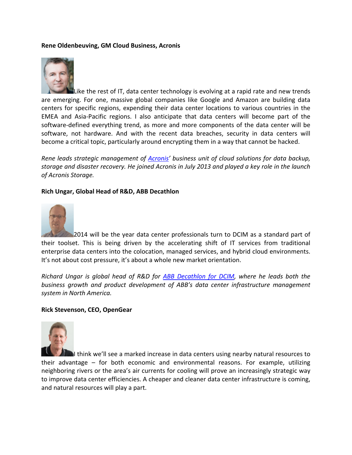### **Rene Oldenbeuving, GM Cloud Business, Acronis**



Like the rest of IT, data center technology is evolving at a rapid rate and new trends are emerging. For one, massive global companies like Google and Amazon are building data centers for specific regions, expending their data center locations to various countries in the EMEA and Asia‐Pacific regions. I also anticipate that data centers will become part of the software-defined everything trend, as more and more components of the data center will be software, not hardware. And with the recent data breaches, security in data centers will become a critical topic, particularly around encrypting them in a way that cannot be hacked.

*Rene leads strategic management of Acronis' business unit of cloud solutions for data backup, storage and disaster recovery. He joined Acronis in July 2013 and played a key role in the launch of Acronis Storage.*

#### **Rich Ungar, Global Head of R&D, ABB Decathlon**



2014 will be the year data center professionals turn to DCIM as a standard part of their toolset. This is being driven by the accelerating shift of IT services from traditional enterprise data centers into the colocation, managed services, and hybrid cloud environments. It's not about cost pressure, it's about a whole new market orientation.

*Richard Ungar is global head of R&D for ABB Decathlon for DCIM, where he leads both the business growth and product development of ABB's data center infrastructure management system in North America.*

#### **Rick Stevenson, CEO, OpenGear**



I think we'll see a marked increase in data centers using nearby natural resources to their advantage – for both economic and environmental reasons. For example, utilizing neighboring rivers or the area's air currents for cooling will prove an increasingly strategic way to improve data center efficiencies. A cheaper and cleaner data center infrastructure is coming, and natural resources will play a part.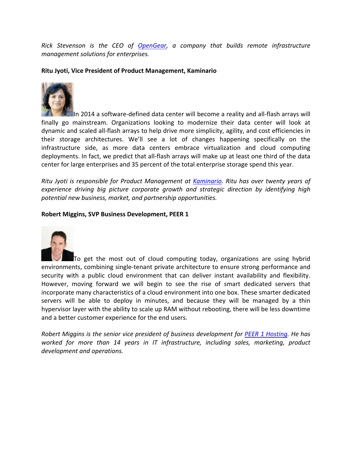*Rick Stevenson is the CEO of OpenGear, a company that builds remote infrastructure management solutions for enterprises.*

**Ritu Jyoti, Vice President of Product Management, Kaminario**



In 2014 a software-defined data center will become a reality and all-flash arrays will finally go mainstream. Organizations looking to modernize their data center will look at dynamic and scaled all‐flash arrays to help drive more simplicity, agility, and cost efficiencies in their storage architectures. We'll see a lot of changes happening specifically on the infrastructure side, as more data centers embrace virtualization and cloud computing deployments. In fact, we predict that all‐flash arrays will make up at least one third of the data center for large enterprises and 35 percent of the total enterprise storage spend this year.

*Ritu Jyoti is responsible for Product Management at Kaminario. Ritu has over twenty years of experience driving big picture corporate growth and strategic direction by identifying high potential new business, market, and partnership opportunities.*

## **Robert Miggins, SVP Business Development, PEER 1**



To get the most out of cloud computing today, organizations are using hybrid environments, combining single‐tenant private architecture to ensure strong performance and security with a public cloud environment that can deliver instant availability and flexibility. However, moving forward we will begin to see the rise of smart dedicated servers that incorporate many characteristics of a cloud environment into one box. These smarter dedicated servers will be able to deploy in minutes, and because they will be managed by a thin hypervisor layer with the ability to scale up RAM without rebooting, there will be less downtime and a better customer experience for the end users.

*Robert Miggins is the senior vice president of business development for PEER 1 Hosting. He has worked for more than 14 years in IT infrastructure, including sales, marketing, product development and operations.*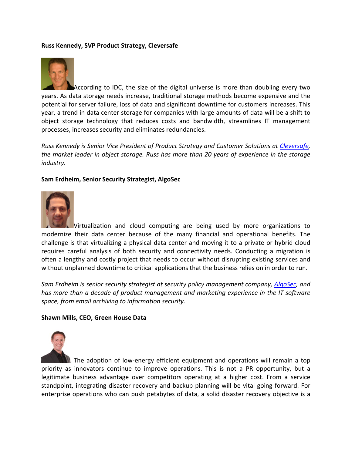# **Russ Kennedy, SVP Product Strategy, Cleversafe**



According to IDC, the size of the digital universe is more than doubling every two years. As data storage needs increase, traditional storage methods become expensive and the potential for server failure, loss of data and significant downtime for customers increases. This year, a trend in data center storage for companies with large amounts of data will be a shift to object storage technology that reduces costs and bandwidth, streamlines IT management processes, increases security and eliminates redundancies.

*Russ Kennedy is Senior Vice President of Product Strategy and Customer Solutions at Cleversafe, the market leader in object storage. Russ has more than 20 years of experience in the storage industry.*

## **Sam Erdheim, Senior Security Strategist, AlgoSec**



Virtualization and cloud computing are being used by more organizations to modernize their data center because of the many financial and operational benefits. The challenge is that virtualizing a physical data center and moving it to a private or hybrid cloud requires careful analysis of both security and connectivity needs. Conducting a migration is often a lengthy and costly project that needs to occur without disrupting existing services and without unplanned downtime to critical applications that the business relies on in order to run.

*Sam Erdheim is senior security strategist at security policy management company, AlgoSec, and has more than a decade of product management and marketing experience in the IT software space, from email archiving to information security.*

#### **Shawn Mills, CEO, Green House Data**



The adoption of low-energy efficient equipment and operations will remain a top priority as innovators continue to improve operations. This is not a PR opportunity, but a legitimate business advantage over competitors operating at a higher cost. From a service standpoint, integrating disaster recovery and backup planning will be vital going forward. For enterprise operations who can push petabytes of data, a solid disaster recovery objective is a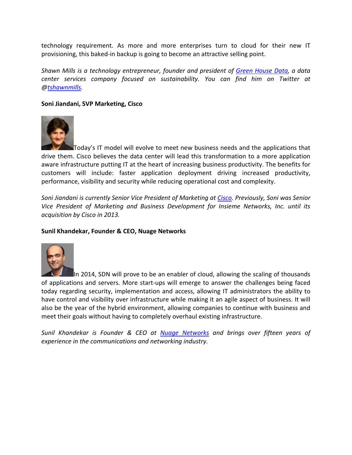technology requirement. As more and more enterprises turn to cloud for their new IT provisioning, this baked‐in backup is going to become an attractive selling point.

*Shawn Mills is a technology entrepreneur, founder and president of Green House Data, a data center services company focused on sustainability. You can find him on Twitter at @tshawnmills.*

# **Soni Jiandani, SVP Marketing, Cisco**



Today's IT model will evolve to meet new business needs and the applications that drive them. Cisco believes the data center will lead this transformation to a more application aware infrastructure putting IT at the heart of increasing business productivity. The benefits for customers will include: faster application deployment driving increased productivity, performance, visibility and security while reducing operational cost and complexity.

*Soni Jiandani is currently Senior Vice President of Marketing at Cisco. Previously, Soni was Senior Vice President of Marketing and Business Development for Insieme Networks, Inc. until its acquisition by Cisco in 2013.*

## **Sunil Khandekar, Founder & CEO, Nuage Networks**



In 2014, SDN will prove to be an enabler of cloud, allowing the scaling of thousands of applications and servers. More start‐ups will emerge to answer the challenges being faced today regarding security, implementation and access, allowing IT administrators the ability to have control and visibility over infrastructure while making it an agile aspect of business. It will also be the year of the hybrid environment, allowing companies to continue with business and meet their goals without having to completely overhaul existing infrastructure.

*Sunil Khandekar is Founder & CEO at Nuage Networks and brings over fifteen years of experience in the communications and networking industry.*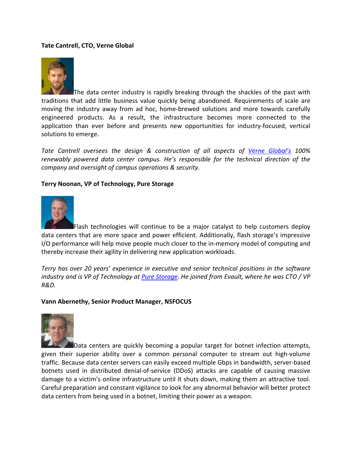# **Tate Cantrell, CTO, Verne Global**



The data center industry is rapidly breaking through the shackles of the past with traditions that add little business value quickly being abandoned. Requirements of scale are moving the industry away from ad hoc, home‐brewed solutions and more towards carefully engineered products. As a result, the infrastructure becomes more connected to the application than ever before and presents new opportunities for industry‐focused, vertical solutions to emerge.

*Tate Cantrell oversees the design & construction of all aspects of Verne Global's 100% renewably powered data center campus. He's responsible for the technical direction of the company and oversight of campus operations & security.*

## **Terry Noonan, VP of Technology, Pure Storage**



Flash technologies will continue to be a major catalyst to help customers deploy data centers that are more space and power efficient. Additionally, flash storage's impressive I/O performance will help move people much closer to the in‐memory model of computing and thereby increase their agility in delivering new application workloads.

*Terry has over 20 years' experience in executive and senior technical positions in the software* industry and is VP of Technology at <u>Pure Storage</u>. He joined from Evault, where he was CTO / VP *R&D.*

#### **Vann Abernethy, Senior Product Manager, NSFOCUS**



Data centers are quickly becoming a popular target for botnet infection attempts, given their superior ability over a common personal computer to stream out high‐volume traffic. Because data center servers can easily exceed multiple Gbps in bandwidth, server‐based botnets used in distributed denial‐of‐service (DDoS) attacks are capable of causing massive damage to a victim's online infrastructure until it shuts down, making them an attractive tool. Careful preparation and constant vigilance to look for any abnormal behavior will better protect data centers from being used in a botnet, limiting their power as a weapon.